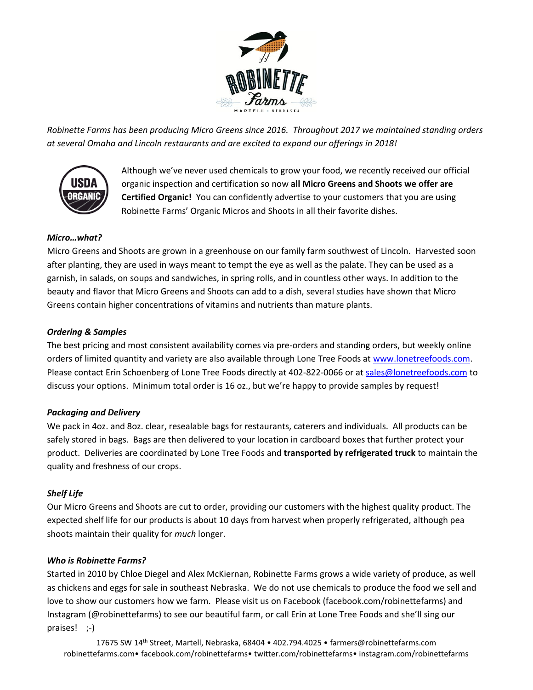

*Robinette Farms has been producing Micro Greens since 2016. Throughout 2017 we maintained standing orders at several Omaha and Lincoln restaurants and are excited to expand our offerings in 2018!*



Although we've never used chemicals to grow your food, we recently received our official organic inspection and certification so now **all Micro Greens and Shoots we offer are Certified Organic!** You can confidently advertise to your customers that you are using Robinette Farms' Organic Micros and Shoots in all their favorite dishes.

# *Micro…what?*

Micro Greens and Shoots are grown in a greenhouse on our family farm southwest of Lincoln. Harvested soon after planting, they are used in ways meant to tempt the eye as well as the palate. They can be used as a garnish, in salads, on soups and sandwiches, in spring rolls, and in countless other ways. In addition to the beauty and flavor that Micro Greens and Shoots can add to a dish, several studies have shown that Micro Greens contain higher concentrations of vitamins and nutrients than mature plants.

# *Ordering & Samples*

The best pricing and most consistent availability comes via pre-orders and standing orders, but weekly online orders of limited quantity and variety are also available through Lone Tree Foods at [www.lonetreefoods.com.](http://www.lonetreefoods.com/) Please contact Erin Schoenberg of Lone Tree Foods directly at 402-822-0066 or at [sales@lonetreefoods.com](mailto:sales@lonetreefoods.com) to discuss your options. Minimum total order is 16 oz., but we're happy to provide samples by request!

# *Packaging and Delivery*

We pack in 4oz. and 8oz. clear, resealable bags for restaurants, caterers and individuals. All products can be safely stored in bags. Bags are then delivered to your location in cardboard boxes that further protect your product. Deliveries are coordinated by Lone Tree Foods and **transported by refrigerated truck** to maintain the quality and freshness of our crops.

# *Shelf Life*

Our Micro Greens and Shoots are cut to order, providing our customers with the highest quality product. The expected shelf life for our products is about 10 days from harvest when properly refrigerated, although pea shoots maintain their quality for *much* longer.

#### *Who is Robinette Farms?*

Started in 2010 by Chloe Diegel and Alex McKiernan, Robinette Farms grows a wide variety of produce, as well as chickens and eggs for sale in southeast Nebraska. We do not use chemicals to produce the food we sell and love to show our customers how we farm. Please visit us on Facebook (facebook.com/robinettefarms) and Instagram (@robinettefarms) to see our beautiful farm, or call Erin at Lone Tree Foods and she'll sing our praises! ;-)

17675 SW 14th Street, Martell, Nebraska, 68404 • 402.794.4025 • farmers@robinettefarms.com robinettefarms.com• facebook.com/robinettefarms• twitter.com/robinettefarms• instagram.com/robinettefarms